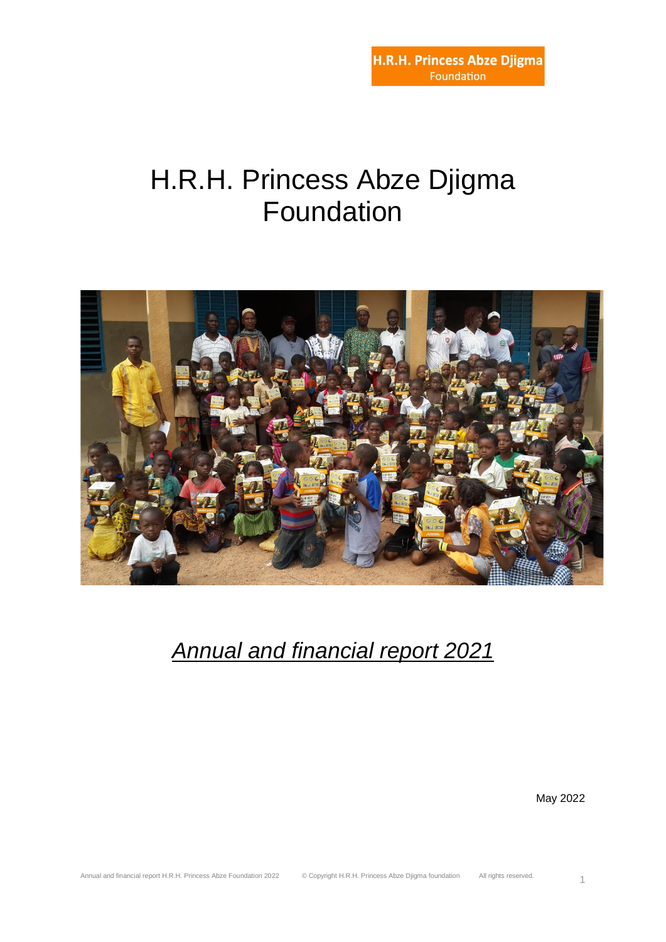# H.R.H. Princess Abze Djigma Foundation



*Annual and financial report 2021*

May 2022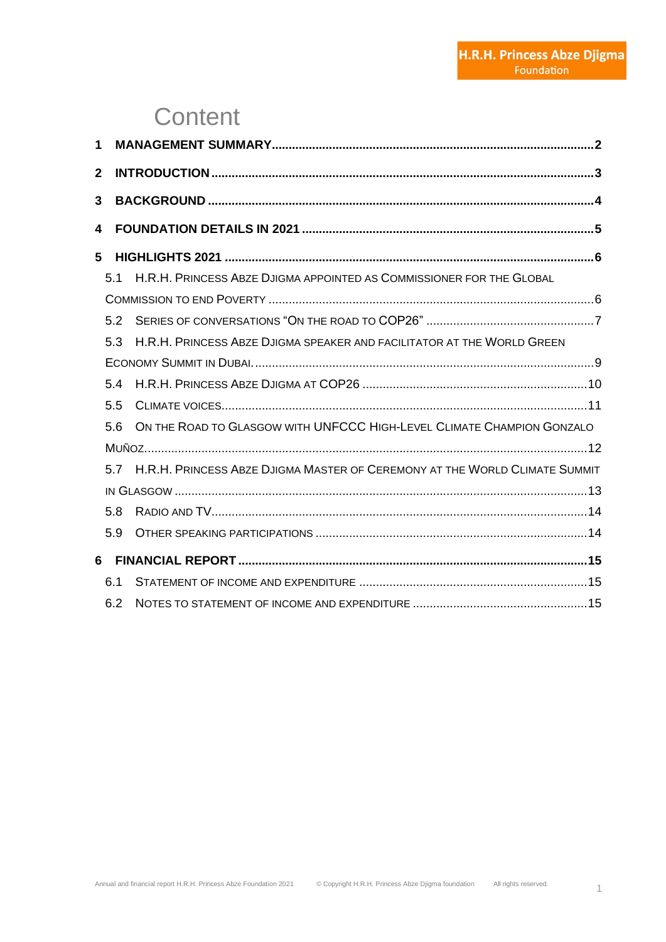# **Content**

| 1              |     |                                                                                |  |
|----------------|-----|--------------------------------------------------------------------------------|--|
| $\overline{2}$ |     |                                                                                |  |
| 3              |     |                                                                                |  |
| 4              |     |                                                                                |  |
|                |     |                                                                                |  |
| 5              |     |                                                                                |  |
|                | 5.1 | H.R.H. PRINCESS ABZE DJIGMA APPOINTED AS COMMISSIONER FOR THE GLOBAL           |  |
|                |     |                                                                                |  |
|                | 5.2 |                                                                                |  |
|                | 5.3 | H.R.H. PRINCESS ABZE DJIGMA SPEAKER AND FACILITATOR AT THE WORLD GREEN         |  |
|                |     |                                                                                |  |
|                | 5.4 |                                                                                |  |
|                | 5.5 |                                                                                |  |
|                | 5.6 | ON THE ROAD TO GLASGOW WITH UNFCCC HIGH-LEVEL CLIMATE CHAMPION GONZALO         |  |
|                |     |                                                                                |  |
|                |     | 5.7 H.R.H. PRINCESS ABZE DJIGMA MASTER OF CEREMONY AT THE WORLD CLIMATE SUMMIT |  |
|                |     |                                                                                |  |
|                | 5.8 |                                                                                |  |
|                | 5.9 |                                                                                |  |
| 6              |     |                                                                                |  |
|                | 6.1 |                                                                                |  |
|                | 6.2 |                                                                                |  |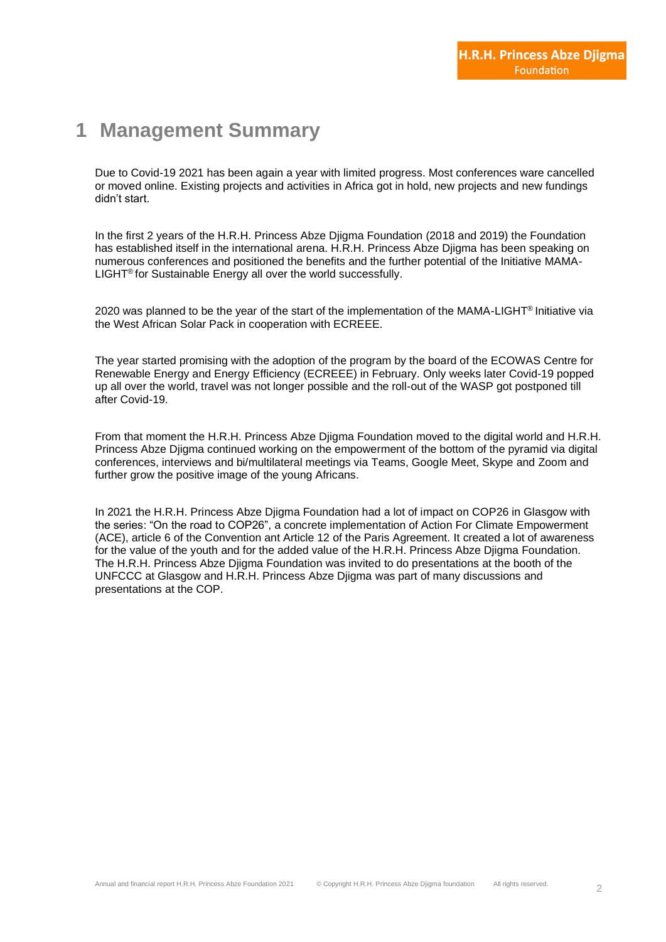#### **1 Management Summary**

Due to Covid-19 2021 has been again a year with limited progress. Most conferences ware cancelled or moved online. Existing projects and activities in Africa got in hold, new projects and new fundings didn't start.

In the first 2 years of the H.R.H. Princess Abze Djigma Foundation (2018 and 2019) the Foundation has established itself in the international arena. H.R.H. Princess Abze Djigma has been speaking on numerous conferences and positioned the benefits and the further potential of the Initiative MAMA-LIGHT® for Sustainable Energy all over the world successfully.

2020 was planned to be the year of the start of the implementation of the MAMA-LIGHT® Initiative via the West African Solar Pack in cooperation with ECREEE.

The year started promising with the adoption of the program by the board of the ECOWAS Centre for Renewable Energy and Energy Efficiency (ECREEE) in February. Only weeks later Covid-19 popped up all over the world, travel was not longer possible and the roll-out of the WASP got postponed till after Covid-19.

From that moment the H.R.H. Princess Abze Djigma Foundation moved to the digital world and H.R.H. Princess Abze Djigma continued working on the empowerment of the bottom of the pyramid via digital conferences, interviews and bi/multilateral meetings via Teams, Google Meet, Skype and Zoom and further grow the positive image of the young Africans.

In 2021 the H.R.H. Princess Abze Djigma Foundation had a lot of impact on COP26 in Glasgow with the series: "On the road to COP26", a concrete implementation of Action For Climate Empowerment (ACE), article 6 of the Convention ant Article 12 of the Paris Agreement. It created a lot of awareness for the value of the youth and for the added value of the H.R.H. Princess Abze Djigma Foundation. The H.R.H. Princess Abze Djigma Foundation was invited to do presentations at the booth of the UNFCCC at Glasgow and H.R.H. Princess Abze Djigma was part of many discussions and presentations at the COP.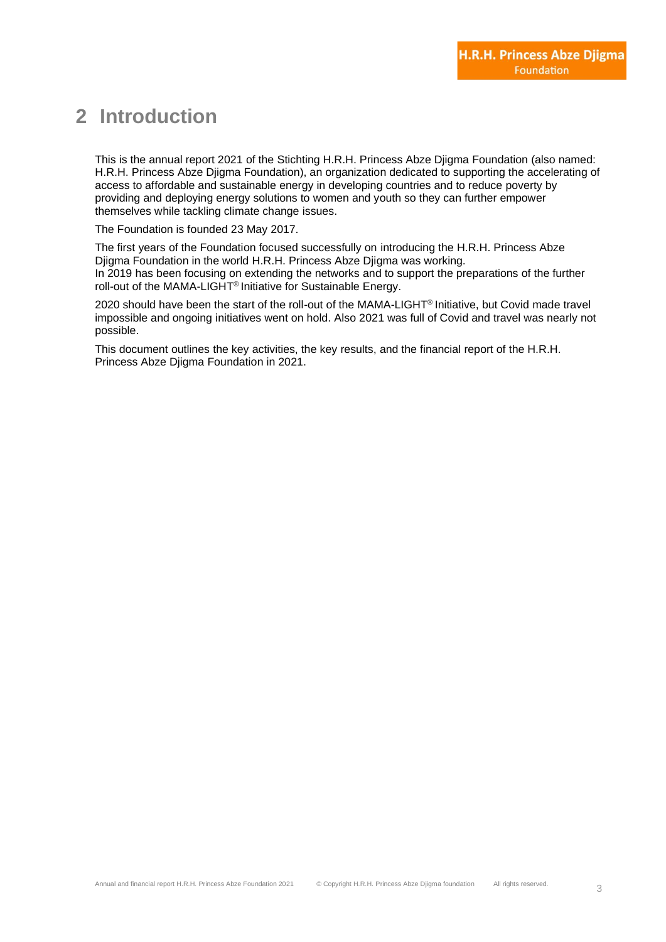### **2 Introduction**

This is the annual report 2021 of the Stichting H.R.H. Princess Abze Djigma Foundation (also named: H.R.H. Princess Abze Djigma Foundation), an organization dedicated to supporting the accelerating of access to affordable and sustainable energy in developing countries and to reduce poverty by providing and deploying energy solutions to women and youth so they can further empower themselves while tackling climate change issues.

The Foundation is founded 23 May 2017.

The first years of the Foundation focused successfully on introducing the H.R.H. Princess Abze Djigma Foundation in the world H.R.H. Princess Abze Djigma was working. In 2019 has been focusing on extending the networks and to support the preparations of the further roll-out of the MAMA-LIGHT® Initiative for Sustainable Energy.

2020 should have been the start of the roll-out of the MAMA-LIGHT<sup>®</sup> Initiative, but Covid made travel impossible and ongoing initiatives went on hold. Also 2021 was full of Covid and travel was nearly not possible.

This document outlines the key activities, the key results, and the financial report of the H.R.H. Princess Abze Djigma Foundation in 2021.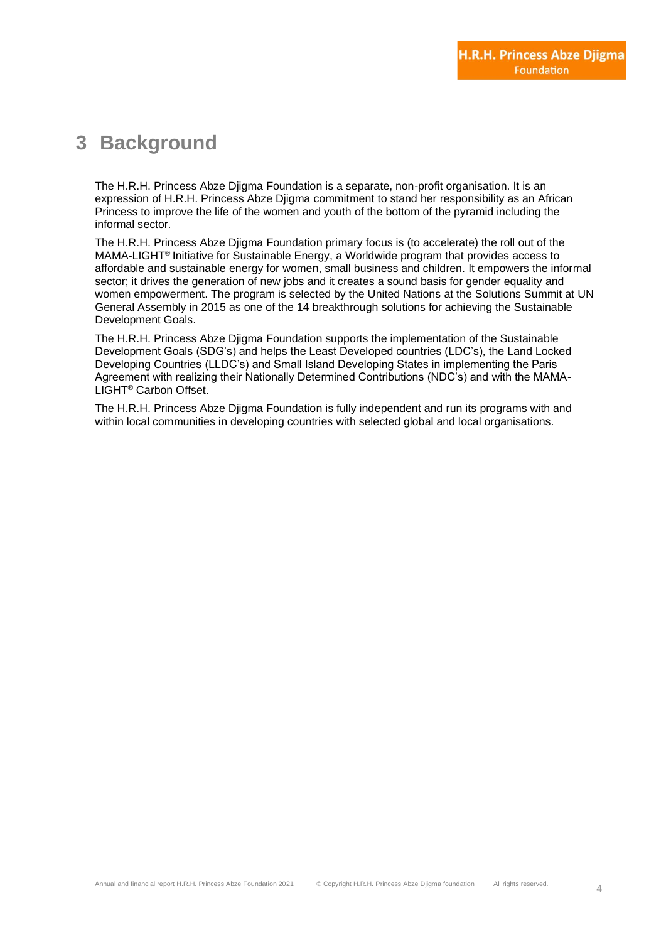### **3 Background**

The H.R.H. Princess Abze Djigma Foundation is a separate, non-profit organisation. It is an expression of H.R.H. Princess Abze Djigma commitment to stand her responsibility as an African Princess to improve the life of the women and youth of the bottom of the pyramid including the informal sector.

The H.R.H. Princess Abze Djigma Foundation primary focus is (to accelerate) the roll out of the MAMA-LIGHT® Initiative for Sustainable Energy, a Worldwide program that provides access to affordable and sustainable energy for women, small business and children. It empowers the informal sector; it drives the generation of new jobs and it creates a sound basis for gender equality and women empowerment. The program is selected by the United Nations at the Solutions Summit at UN General Assembly in 2015 as one of the 14 breakthrough solutions for achieving the Sustainable Development Goals.

The H.R.H. Princess Abze Djigma Foundation supports the implementation of the Sustainable Development Goals (SDG's) and helps the Least Developed countries (LDC's), the Land Locked Developing Countries (LLDC's) and Small Island Developing States in implementing the Paris Agreement with realizing their Nationally Determined Contributions (NDC's) and with the MAMA-LIGHT® Carbon Offset.

The H.R.H. Princess Abze Djigma Foundation is fully independent and run its programs with and within local communities in developing countries with selected global and local organisations.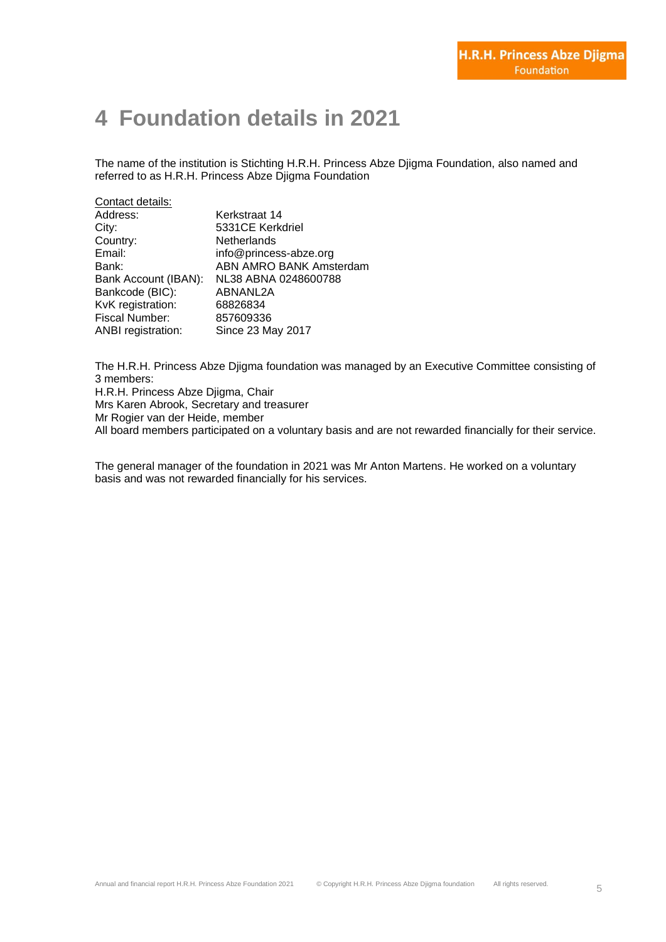# **4 Foundation details in 2021**

The name of the institution is Stichting H.R.H. Princess Abze Djigma Foundation, also named and referred to as H.R.H. Princess Abze Djigma Foundation

| Contact details:          |                         |  |  |  |  |  |
|---------------------------|-------------------------|--|--|--|--|--|
| Address:                  | Kerkstraat 14           |  |  |  |  |  |
| City:                     | 5331CE Kerkdriel        |  |  |  |  |  |
| Country:                  | <b>Netherlands</b>      |  |  |  |  |  |
| Email:                    | info@princess-abze.org  |  |  |  |  |  |
| Bank:                     | ABN AMRO BANK Amsterdam |  |  |  |  |  |
| Bank Account (IBAN):      | NL38 ABNA 0248600788    |  |  |  |  |  |
| Bankcode (BIC):           | ABNANL2A                |  |  |  |  |  |
| KvK registration:         | 68826834                |  |  |  |  |  |
| Fiscal Number:            | 857609336               |  |  |  |  |  |
| <b>ANBI</b> registration: | Since 23 May 2017       |  |  |  |  |  |

The H.R.H. Princess Abze Djigma foundation was managed by an Executive Committee consisting of 3 members: H.R.H. Princess Abze Djigma, Chair Mrs Karen Abrook, Secretary and treasurer Mr Rogier van der Heide, member All board members participated on a voluntary basis and are not rewarded financially for their service.

The general manager of the foundation in 2021 was Mr Anton Martens. He worked on a voluntary basis and was not rewarded financially for his services.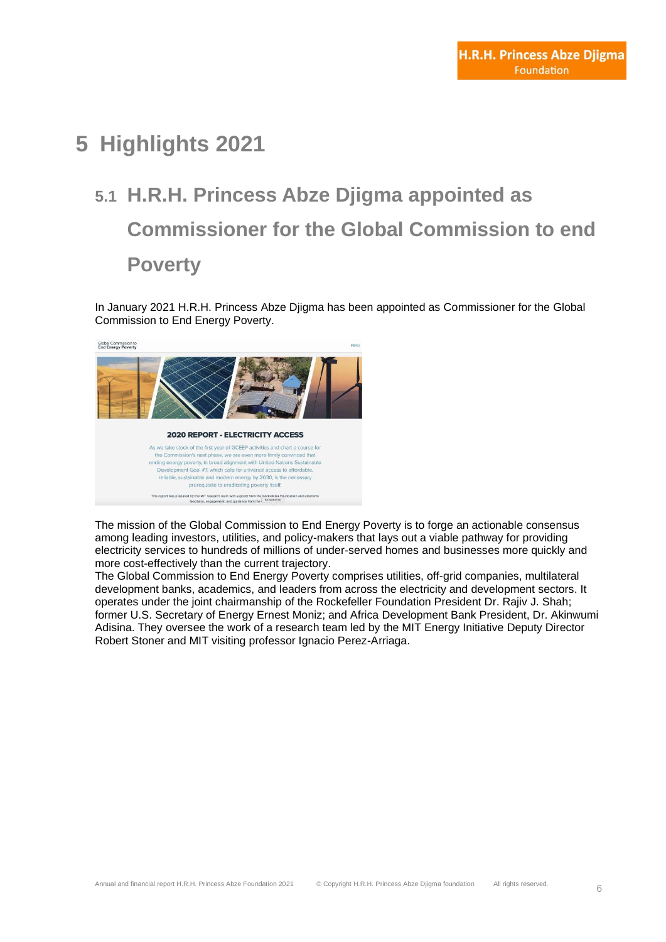# **5 Highlights 2021**

# **5.1 H.R.H. Princess Abze Djigma appointed as Commissioner for the Global Commission to end Poverty**

In January 2021 H.R.H. Princess Abze Djigma has been appointed as [Commissioner](https://www.endenergypoverty.org/commissioners) for the [Global](https://www.endenergypoverty.org/)  [Commission to End Energy Poverty.](https://www.endenergypoverty.org/)



The [mission](https://www.endenergypoverty.org/) of the Global Commission to End Energy Poverty is to forge an actionable consensus among leading investors, utilities, and policy-makers that lays out a viable pathway for providing electricity services to hundreds of millions of under-served homes and businesses more quickly and more cost-effectively than the current trajectory.

The [Global Commission](https://www.endenergypoverty.org/commissioners) to End Energy Poverty comprises utilities, off-grid companies, multilateral development banks, academics, and leaders from across the electricity and development sectors. It operates under the joint chairmanship of the Rockefeller Foundation President Dr. Rajiv J. Shah; former U.S. Secretary of Energy Ernest Moniz; and Africa Development Bank President, Dr. Akinwumi Adisina. They oversee the work of a research team led by the MIT Energy Initiative Deputy Director Robert Stoner and MIT visiting professor Ignacio Perez-Arriaga.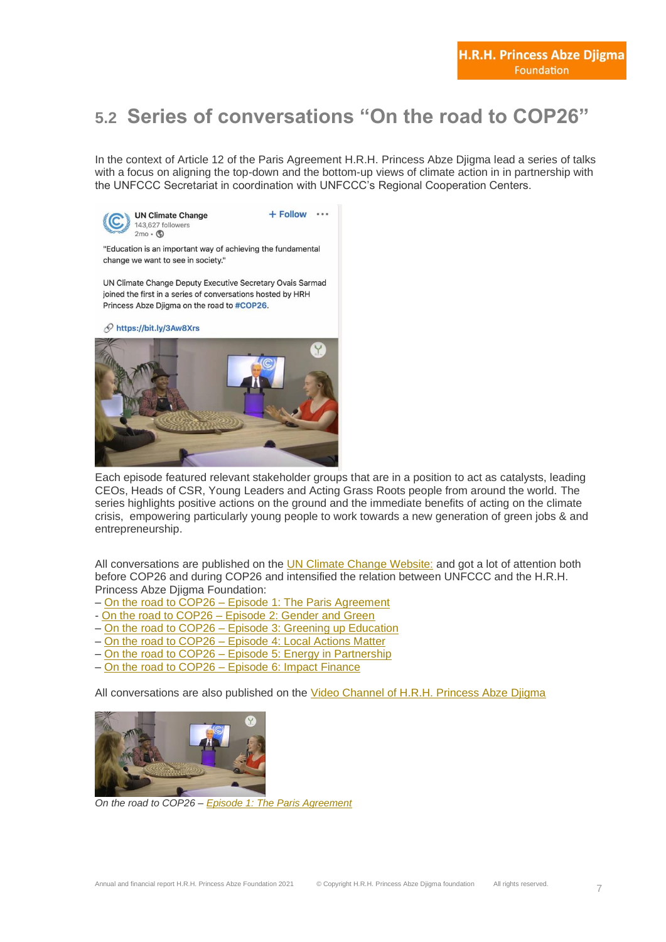# **5.2 Series of conversations "On the road to COP26"**

In the context of Article 12 of the Paris Agreement H.R.H. Princess Abze Djigma lead a series of talks with a focus on aligning the top-down and the bottom-up views of climate action in in partnership with the UNFCCC Secretariat in coordination with UNFCCC's Regional Cooperation Centers.



 $+$  Follow  $\cdots$ 

"Education is an important way of achieving the fundamental change we want to see in society."

UN Climate Change Deputy Executive Secretary Ovais Sarmad joined the first in a series of conversations hosted by HRH Princess Abze Djigma on the road to #COP26.

Phttps://bit.ly/3Aw8Xrs



Each episode featured relevant stakeholder groups that are in a position to act as catalysts, leading CEOs, Heads of CSR, Young Leaders and Acting Grass Roots people from around the world. The series highlights positive actions on the ground and the immediate benefits of acting on the climate crisis, empowering particularly young people to work towards a new generation of green jobs & and entrepreneurship.

All conversations are published on the **UN Climate Change [Website:](https://www.youtube.com/c/UNClimateChange)** and got a lot of attention both before COP26 and during COP26 and intensified the relation between UNFCCC and the H.R.H. Princess Abze Djigma Foundation:

- On the road to COP26 Episode 1: The Paris [Agreement](https://www.youtube.com/watch?v=APhBwagIbkE)
- On the road to COP26 [Episode](https://www.youtube.com/watch?v=QmupMF1BWys) 2: Gender and Green
- On the road to COP26 Episode 3: Greening up [Education](https://www.youtube.com/watch?v=L7upzM4kd2U)
- On the road to COP26 [Episode](https://www.youtube.com/watch?v=5q6twbcmTm8) 4: Local Actions Matter
- On the road to COP26 Episode 5: Energy in [Partnership](https://www.youtube.com/watch?v=yFi8QgsBLd4)
- On the road to COP26 [Episode](https://www.youtube.com/watch?v=dqkeRW4FxnY) 6: Impact Finance

All conversations are also published on the Video Channel of H.R.H. [Princess](https://www.youtube.com/channel/UCzt6Q-CuC6c7SV9fPBDJumA) Abze Djigma



*On the road to COP26 – Episode 1: The Paris [Agreement](https://www.youtube.com/watch?v=Zq4HLZNIFH0)*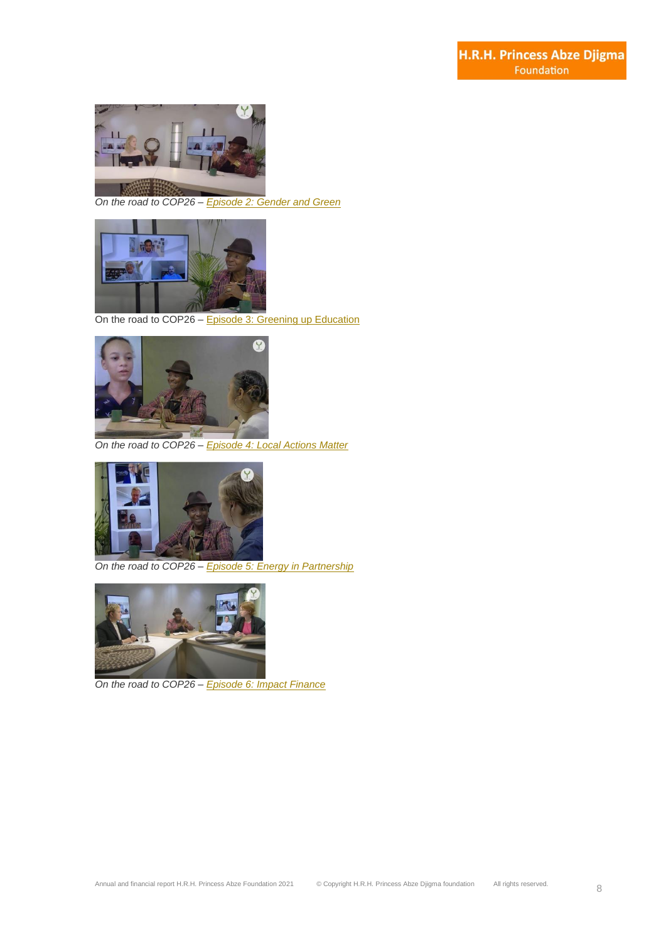

*On the road to COP26 – [Episode](https://www.youtube.com/watch?v=4jIdCKUEg-g) 2: Gender and Green*



On the road to COP26 – Episode 3: Greening up [Education](https://www.youtube.com/watch?v=Vzbp1_7s4d4&t=18s)



*On the road to COP26 – [Episode](https://www.youtube.com/watch?v=v-GForvlPqk) 4: Local Actions Matter*



*On the road to COP26 – Episode 5: Energy in [Partnership](https://www.youtube.com/watch?v=pZPRdVcoi3k)*



*On the road to COP26 – [Episode](https://www.youtube.com/watch?v=-Tikefun9WQ) 6: Impact Finance*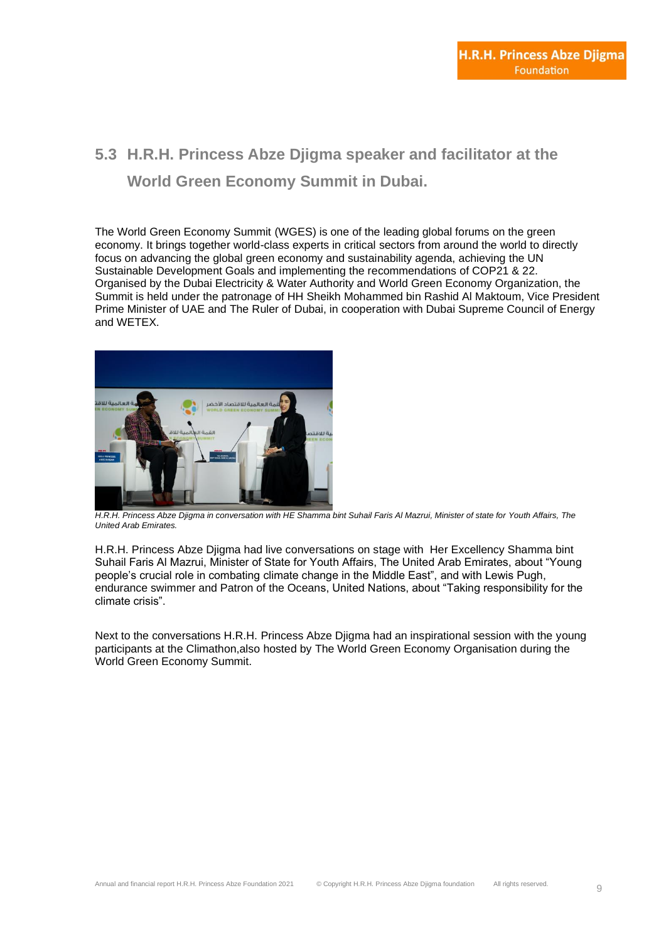#### **5.3 H.R.H. Princess Abze Djigma speaker and facilitator at the World Green Economy Summit in Dubai.**

[The World Green Economy Summit \(WGES\)](https://www.wges.ae/) is one of the leading global forums on the green economy. It brings together world-class experts in critical sectors from around the world to directly focus on advancing the global green economy and sustainability agenda, achieving the UN Sustainable Development Goals and implementing the recommendations of COP21 & 22. Organised by the Dubai Electricity & Water Authority and World Green Economy Organization, the Summit is held under the patronage of HH Sheikh Mohammed bin Rashid Al Maktoum, Vice President Prime Minister of UAE and The Ruler of Dubai, in cooperation with Dubai Supreme Council of Energy and WETEX.



*H.R.H. Princess Abze Djigma in conversation with HE Shamma bint Suhail Faris Al Mazrui, Minister of state for Youth Affairs, The United Arab Emirates.*

H.R.H. Princess Abze Djigma had live conversations on stage with Her Excellency Shamma bint Suhail Faris Al Mazrui, Minister of State for Youth Affairs, The United Arab Emirates, about "Young people's crucial role in combating climate change in the Middle East", and with Lewis Pugh, endurance swimmer and Patron of the Oceans, United Nations, about "Taking responsibility for the climate crisis".

Next to the conversations H.R.H. Princess Abze Djigma had an inspirational session with the young participants at the Climathon,also hosted by [The World Green Economy Organisation](https://worldgreeneconomy.org/) during the World Green Economy Summit.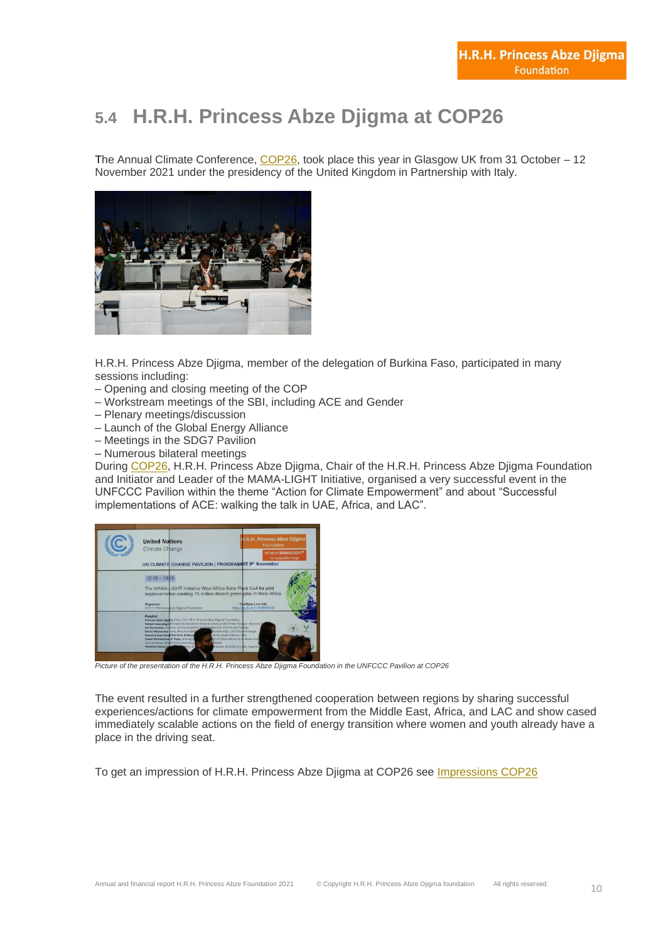# **5.4 H.R.H. Princess Abze Djigma at COP26**

The Annual Climate Conference,  $COP26$ , took place this year in Glasgow UK from 31 October – 12 November 2021 under the presidency of the United Kingdom in Partnership with Italy.



H.R.H. Princess Abze Djigma, member of the delegation of Burkina Faso, participated in many sessions including:

- Opening and closing meeting of the COP
- Workstream meetings of the SBI, including ACE and Gender
- Plenary meetings/discussion
- Launch of the Global Energy Alliance
- Meetings in the SDG7 Pavilion
- Numerous bilateral meetings

During [COP26,](https://unfccc.int/conference/glasgow-climate-change-conference-october-november-2021) H.R.H. Princess Abze Djigma, Chair of the H.R.H. Princess Abze Djigma Foundation and Initiator and Leader of the MAMA-LIGHT Initiative, organised a very successful event in the UNFCCC Pavilion within the theme "Action for Climate Empowerment" and about "Successful implementations of ACE: walking the talk in UAE, Africa, and LAC".

| <b>United Nations</b><br>Climate Change<br>UN CLIMATE CHANGE PAVILION   PROGRAMME 9th November                                                                                                                                                                                                                                                                                                                                                                | H.R.H. Princess Abze Djigma<br>Foundation<br>Initiative MAMA-LIGHT®<br>For Sustainable Energy                                               |
|---------------------------------------------------------------------------------------------------------------------------------------------------------------------------------------------------------------------------------------------------------------------------------------------------------------------------------------------------------------------------------------------------------------------------------------------------------------|---------------------------------------------------------------------------------------------------------------------------------------------|
| $12:15 - 1315$<br>The MAMA-LIGHT Initiative West Africa Solar Pack Call for joint<br>implementation creating 15 million decent green jobs in West Africa<br>Organizer:<br>H.R.H. Princess Abze Djigma Foundation                                                                                                                                                                                                                                              | YouTube Live link<br>https://woutu.be/1xfhBN6DOCE                                                                                           |
| Panalist:<br>Princess Abse Diigina, Chair, The H.R.H. Princess Abon Djigma Foundation<br>Similen Sawadogo Minister, Environment Green Economy and Climate Charge - Burkina G<br>Ina Parvanova, Director, Communications and Ennagement, UN Climate Change<br>Maria Misovicova Head, Resource Mobil<br>Shamma bint Suhall bin Faris Al Maze<br>Saeed Mohammed Al Tayer, Managini<br>and Chairman, World Green Economy<br>WGEOL<br>Verönica Geese A<br>lency of | Partnerships, UN Climate Change<br>ate for Youth Affaires, UAE<br>D of Dubai Electricity & Water Auto<br>hamber of Santa Fe state, Argentin |

*Picture of the presentation of the H.R.H. Princess Abze Djigma Foundation in the UNFCCC Pavilion at COP26*

The event resulted in a further strengthened cooperation between regions by sharing successful experiences/actions for climate empowerment from the Middle East, Africa, and LAC and show cased immediately scalable actions on the field of energy transition where women and youth already have a place in the driving seat.

To get an impression of H.R.H. Princess Abze Djigma at COP26 see [Impressions](https://www.princess-abze.org/impression-cop26-glasgow/) COP26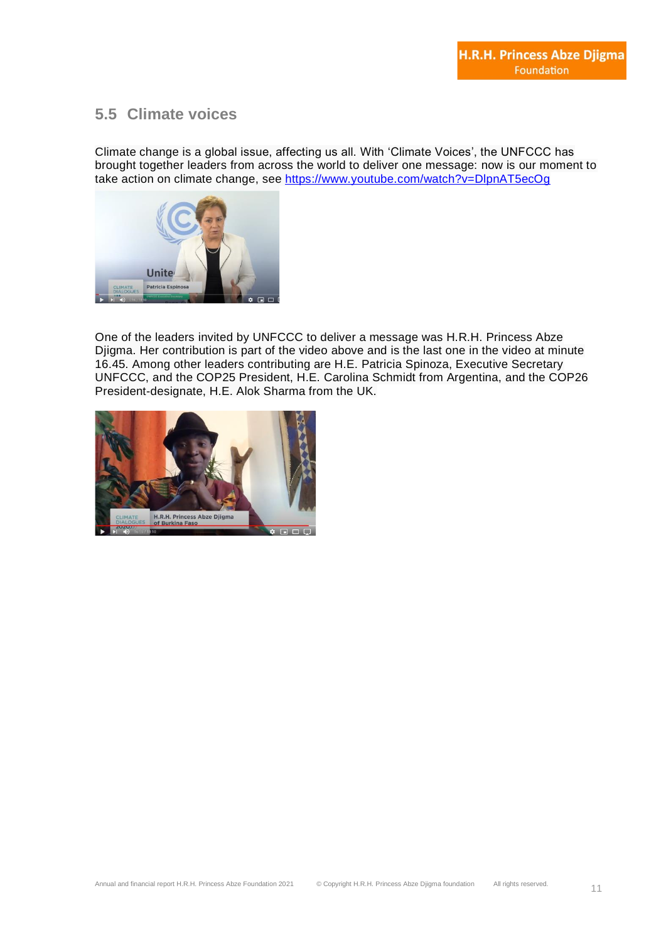#### **5.5 Climate voices**

Climate change is a global issue, affecting us all. With 'Climate Voices', the UNFCCC has brought together leaders from across the world to deliver one message: now is our moment to take action on climate change, see<https://www.youtube.com/watch?v=DlpnAT5ecOg>



One of the leaders invited by UNFCCC to deliver a message was H.R.H. Princess Abze Djigma. Her contribution is part of the video above and is the last one in the video at minute 16.45. Among other leaders contributing are H.E. Patricia Spinoza, Executive Secretary UNFCCC, and the COP25 President, H.E. Carolina Schmidt from Argentina, and the COP26 President-designate, H.E. Alok Sharma from the UK.

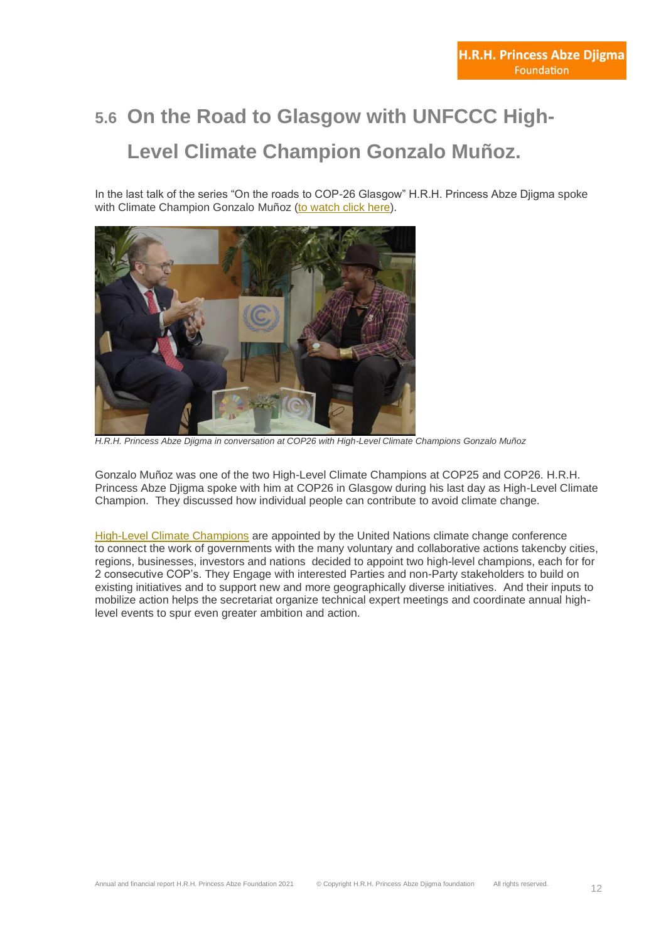# **5.6 On the Road to Glasgow with UNFCCC High-Level Climate Champion Gonzalo Muñoz.**

In the last talk of the series "On the roads to COP-26 Glasgow" H.R.H. Princess Abze Djigma spoke with Climate Champion Gonzalo Muñoz (to [watch](https://www.youtube.com/watch?v=MPQKQorWBG8&t=47s) click here).



*H.R.H. Princess Abze Djigma in conversation at COP26 with High-Level Climate Champions Gonzalo Muñoz*

Gonzalo Muñoz was one of the two High-Level Climate Champions at COP25 and COP26. H.R.H. Princess Abze Djigma spoke with him at COP26 in Glasgow during his last day as High-Level Climate Champion. They discussed how individual people can contribute to avoid climate change.

High-Level Climate [Champions](https://unfccc.int/climate-action/marrakech-partnership/actors/meet-the-champions) are appointed by the United Nations climate change conference to connect the work of governments with the many voluntary and collaborative actions takencby cities, regions, businesses, investors and nations decided to appoint two high-level champions, each for for 2 consecutive COP's. They Engage with interested Parties and non-Party stakeholders to build on existing initiatives and to support new and more geographically diverse initiatives. And their inputs to mobilize action helps the secretariat organize technical expert meetings and coordinate annual highlevel events to spur even greater ambition and action.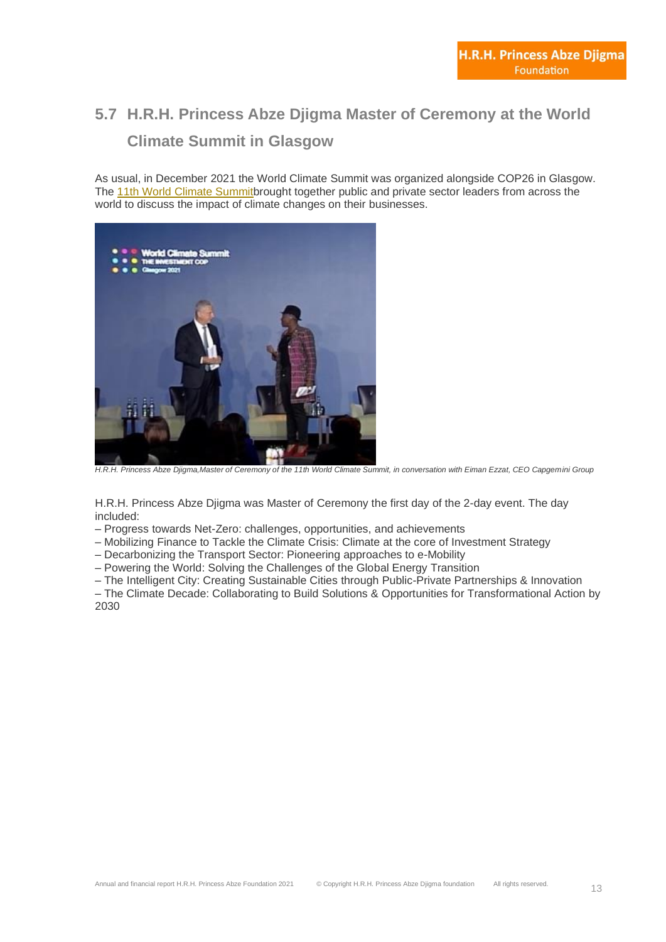# **5.7 H.R.H. Princess Abze Djigma Master of Ceremony at the World Climate Summit in Glasgow**

As usual, in December 2021 the World Climate Summit was organized alongside COP26 in Glasgow. The 11th World Climate [Summitb](https://www.worldclimatesummit.org/on-demand)rought together public and private sector leaders from across the world to discuss the impact of climate changes on their businesses.



*H.R.H. Princess Abze Djigma,Master of Ceremony of the 11th World Climate Summit, in conversation with Eiman Ezzat, CEO Capgemini Group*

H.R.H. Princess Abze Djigma was Master of Ceremony the first day of the 2-day event. The day included:

– Progress towards Net-Zero: challenges, opportunities, and achievements

– Mobilizing Finance to Tackle the Climate Crisis: Climate at the core of Investment Strategy

– Decarbonizing the Transport Sector: Pioneering approaches to e-Mobility

– Powering the World: Solving the Challenges of the Global Energy Transition

– The Intelligent City: Creating Sustainable Cities through Public-Private Partnerships & Innovation

– The Climate Decade: Collaborating to Build Solutions & Opportunities for Transformational Action by 2030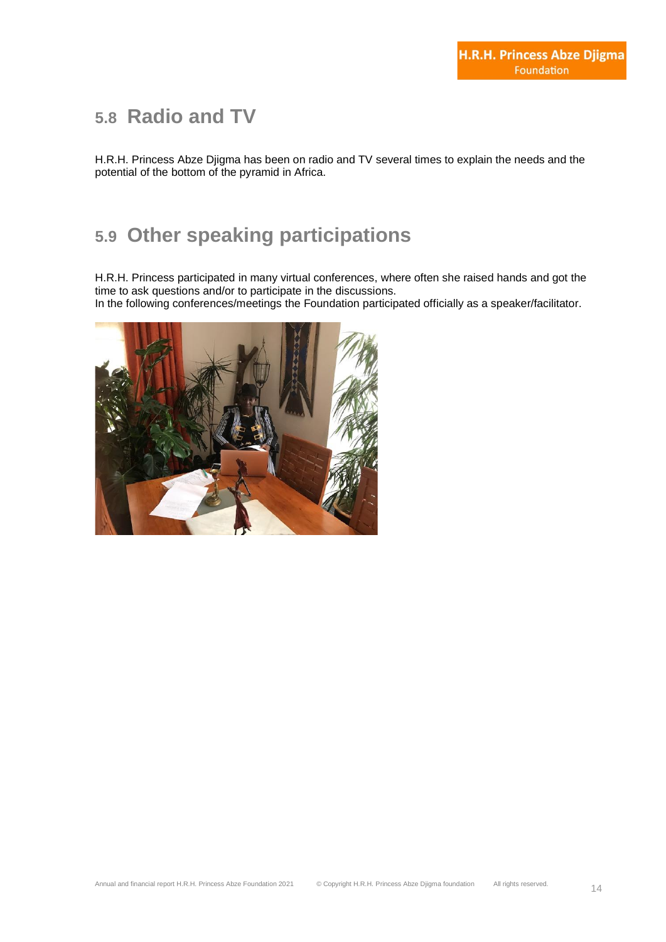#### **5.8 Radio and TV**

H.R.H. Princess Abze Djigma has been on radio and TV several times to explain the needs and the potential of the bottom of the pyramid in Africa.

# **5.9 Other speaking participations**

H.R.H. Princess participated in many virtual conferences, where often she raised hands and got the time to ask questions and/or to participate in the discussions.

In the following conferences/meetings the Foundation participated officially as a speaker/facilitator.